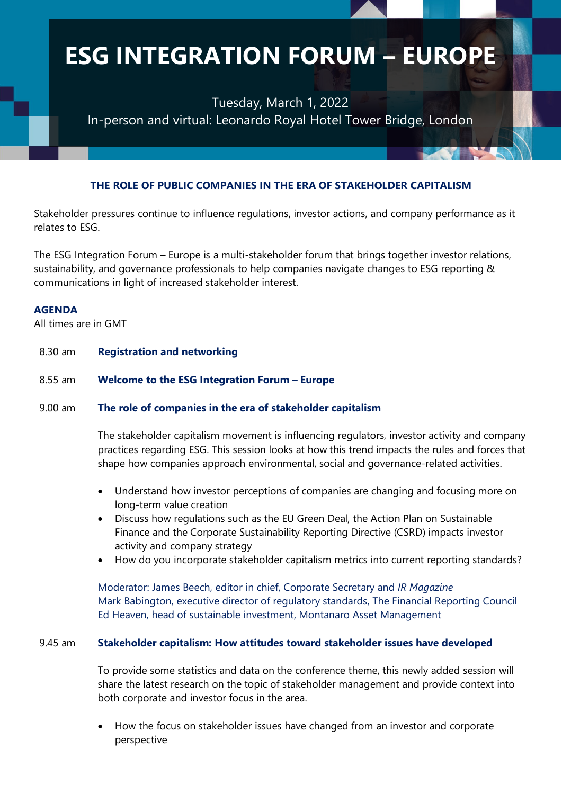Tuesday, March 1, 2022 In-person and virtual: Leonardo Royal Hotel Tower Bridge, London

#### **THE ROLE OF PUBLIC COMPANIES IN THE ERA OF STAKEHOLDER CAPITALISM**

Stakeholder pressures continue to influence regulations, investor actions, and company performance as it relates to ESG.

The ESG Integration Forum – Europe is a multi-stakeholder forum that brings together investor relations, sustainability, and governance professionals to help companies navigate changes to ESG reporting & communications in light of increased stakeholder interest.

#### **AGENDA**

All times are in GMT

| 8.30 am   | <b>Registration and networking</b>                                                                                                                                                                                                                                                                                                                                                                                                                                                                                                                                                                                                                                                                                     |
|-----------|------------------------------------------------------------------------------------------------------------------------------------------------------------------------------------------------------------------------------------------------------------------------------------------------------------------------------------------------------------------------------------------------------------------------------------------------------------------------------------------------------------------------------------------------------------------------------------------------------------------------------------------------------------------------------------------------------------------------|
| 8.55 am   | Welcome to the ESG Integration Forum - Europe                                                                                                                                                                                                                                                                                                                                                                                                                                                                                                                                                                                                                                                                          |
| $9.00$ am | The role of companies in the era of stakeholder capitalism<br>The stakeholder capitalism movement is influencing regulators, investor activity and company<br>practices regarding ESG. This session looks at how this trend impacts the rules and forces that<br>shape how companies approach environmental, social and governance-related activities.                                                                                                                                                                                                                                                                                                                                                                 |
|           | Understand how investor perceptions of companies are changing and focusing more on<br>$\bullet$<br>long-term value creation<br>Discuss how regulations such as the EU Green Deal, the Action Plan on Sustainable<br>$\bullet$<br>Finance and the Corporate Sustainability Reporting Directive (CSRD) impacts investor<br>activity and company strategy<br>How do you incorporate stakeholder capitalism metrics into current reporting standards?<br>$\bullet$<br>Moderator: James Beech, editor in chief, Corporate Secretary and IR Magazine<br>Mark Babington, executive director of regulatory standards, The Financial Reporting Council<br>Ed Heaven, head of sustainable investment, Montanaro Asset Management |
| 9.45 am   | Stakeholder capitalism: How attitudes toward stakeholder issues have developed<br>To provide some statistics and data on the conference theme, this newly added session will<br>share the latest research on the topic of stakeholder management and provide context into<br>both corporate and investor focus in the area.                                                                                                                                                                                                                                                                                                                                                                                            |
|           | How the focus on stakeholder issues have changed from an investor and corporate<br>perspective                                                                                                                                                                                                                                                                                                                                                                                                                                                                                                                                                                                                                         |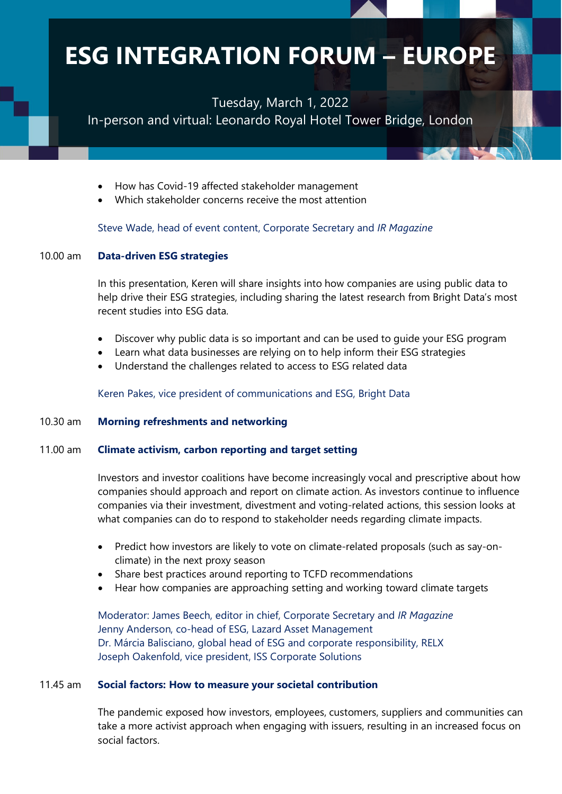Tuesday, March 1, 2022

In-person and virtual: Leonardo Royal Hotel Tower Bridge, London

|          | How has Covid-19 affected stakeholder management<br>$\bullet$<br>Which stakeholder concerns receive the most attention                                                                                                                                                                                                                                                        |
|----------|-------------------------------------------------------------------------------------------------------------------------------------------------------------------------------------------------------------------------------------------------------------------------------------------------------------------------------------------------------------------------------|
|          | Steve Wade, head of event content, Corporate Secretary and IR Magazine                                                                                                                                                                                                                                                                                                        |
| 10.00 am | <b>Data-driven ESG strategies</b>                                                                                                                                                                                                                                                                                                                                             |
|          | In this presentation, Keren will share insights into how companies are using public data to<br>help drive their ESG strategies, including sharing the latest research from Bright Data's most<br>recent studies into ESG data.                                                                                                                                                |
|          | Discover why public data is so important and can be used to guide your ESG program<br>$\bullet$<br>Learn what data businesses are relying on to help inform their ESG strategies<br>$\bullet$<br>Understand the challenges related to access to ESG related data<br>$\bullet$                                                                                                 |
|          | Keren Pakes, vice president of communications and ESG, Bright Data                                                                                                                                                                                                                                                                                                            |
| 10.30 am | <b>Morning refreshments and networking</b>                                                                                                                                                                                                                                                                                                                                    |
| 11.00 am | <b>Climate activism, carbon reporting and target setting</b>                                                                                                                                                                                                                                                                                                                  |
|          | Investors and investor coalitions have become increasingly vocal and prescriptive about how<br>companies should approach and report on climate action. As investors continue to influence<br>companies via their investment, divestment and voting-related actions, this session looks at<br>what companies can do to respond to stakeholder needs regarding climate impacts. |
|          | Predict how investors are likely to vote on climate-related proposals (such as say-on-<br>$\bullet$<br>climate) in the next proxy season                                                                                                                                                                                                                                      |
|          | Share best practices around reporting to TCFD recommendations<br>Hear how companies are approaching setting and working toward climate targets                                                                                                                                                                                                                                |
|          |                                                                                                                                                                                                                                                                                                                                                                               |
|          | Moderator: James Beech, editor in chief, Corporate Secretary and IR Magazine<br>Jenny Anderson, co-head of ESG, Lazard Asset Management                                                                                                                                                                                                                                       |
|          | Dr. Márcia Balisciano, global head of ESG and corporate responsibility, RELX                                                                                                                                                                                                                                                                                                  |
|          | Joseph Oakenfold, vice president, ISS Corporate Solutions                                                                                                                                                                                                                                                                                                                     |
| 11.45 am | Social factors: How to measure your societal contribution                                                                                                                                                                                                                                                                                                                     |
|          | The pandemic exposed how investors, employees, customers, suppliers and communities can<br>take a more activist approach when engaging with issuers, resulting in an increased focus on<br>social factors.                                                                                                                                                                    |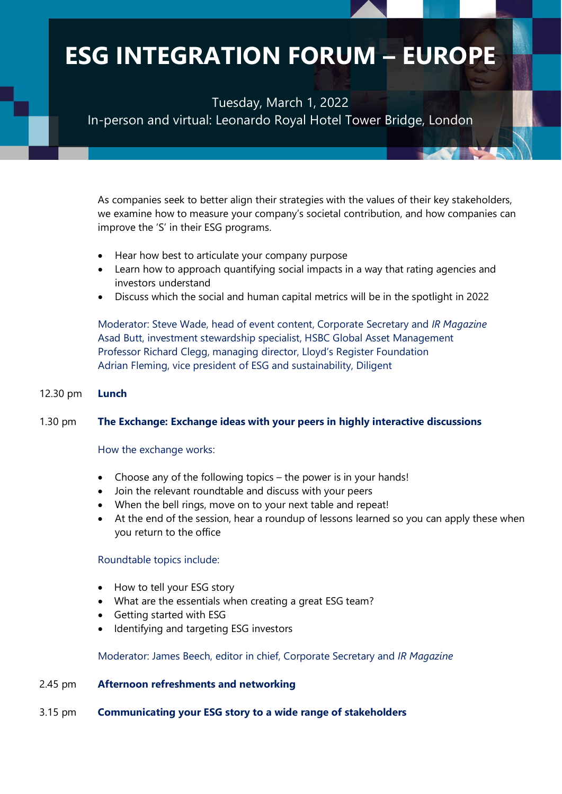Tuesday, March 1, 2022 In-person and virtual: Leonardo Royal Hotel Tower Bridge, London

|          | As companies seek to better align their strategies with the values of their key stakeholders,<br>we examine how to measure your company's societal contribution, and how companies can<br>improve the 'S' in their ESG programs.<br>Hear how best to articulate your company purpose<br>$\bullet$<br>Learn how to approach quantifying social impacts in a way that rating agencies and<br>٠<br>investors understand<br>Discuss which the social and human capital metrics will be in the spotlight in 2022<br>٠<br>Moderator: Steve Wade, head of event content, Corporate Secretary and IR Magazine<br>Asad Butt, investment stewardship specialist, HSBC Global Asset Management<br>Professor Richard Clegg, managing director, Lloyd's Register Foundation<br>Adrian Fleming, vice president of ESG and sustainability, Diligent |
|----------|--------------------------------------------------------------------------------------------------------------------------------------------------------------------------------------------------------------------------------------------------------------------------------------------------------------------------------------------------------------------------------------------------------------------------------------------------------------------------------------------------------------------------------------------------------------------------------------------------------------------------------------------------------------------------------------------------------------------------------------------------------------------------------------------------------------------------------------|
| 12.30 pm | <b>Lunch</b>                                                                                                                                                                                                                                                                                                                                                                                                                                                                                                                                                                                                                                                                                                                                                                                                                         |
| 1.30 pm  | The Exchange: Exchange ideas with your peers in highly interactive discussions<br>How the exchange works:<br>Choose any of the following topics - the power is in your hands!<br>$\bullet$<br>Join the relevant roundtable and discuss with your peers<br>$\bullet$<br>When the bell rings, move on to your next table and repeat!<br>$\bullet$<br>At the end of the session, hear a roundup of lessons learned so you can apply these when<br>$\bullet$<br>you return to the office<br>Roundtable topics include:<br>How to tell your ESG story<br>$\bullet$<br>What are the essentials when creating a great ESG team?<br>Getting started with ESG<br>Identifying and targeting ESG investors<br>Moderator: James Beech, editor in chief, Corporate Secretary and IR Magazine                                                      |
| 2.45 pm  | <b>Afternoon refreshments and networking</b>                                                                                                                                                                                                                                                                                                                                                                                                                                                                                                                                                                                                                                                                                                                                                                                         |
| 3.15 pm  | <b>Communicating your ESG story to a wide range of stakeholders</b>                                                                                                                                                                                                                                                                                                                                                                                                                                                                                                                                                                                                                                                                                                                                                                  |